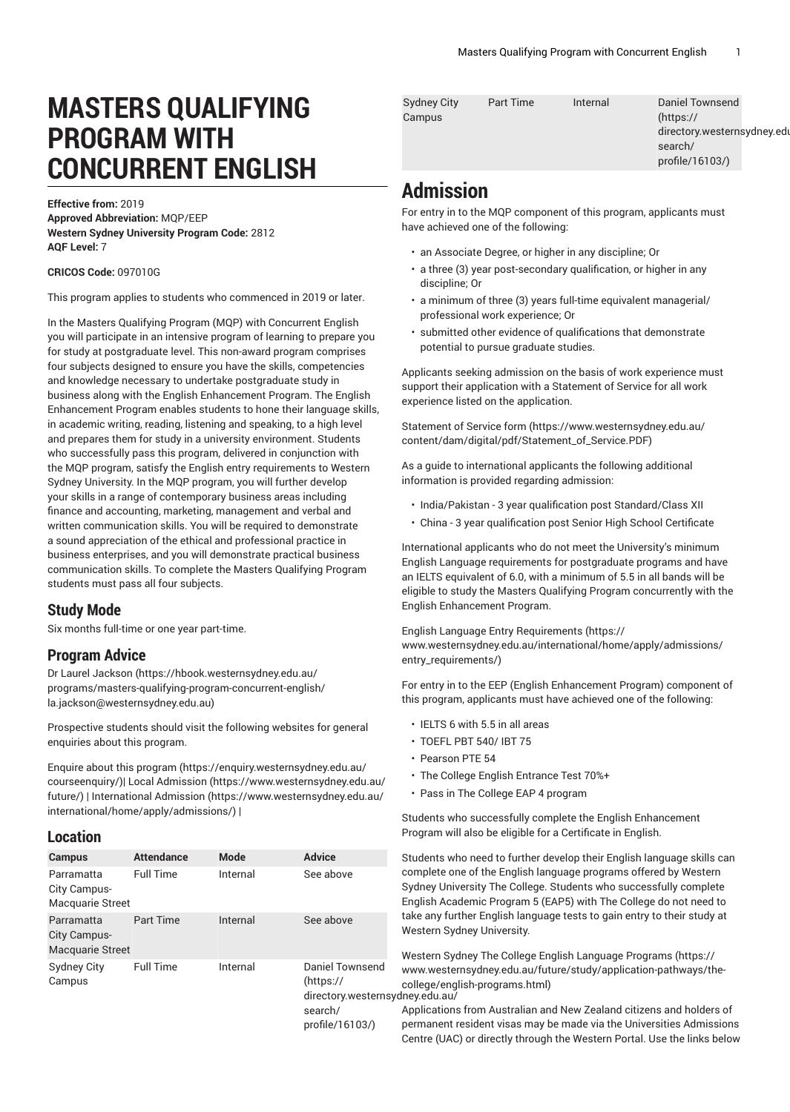# **MASTERS QUALIFYING PROGRAM WITH CONCURRENT ENGLISH**

**Effective from:** 2019 **Approved Abbreviation:** MQP/EEP **Western Sydney University Program Code:** 2812 **AQF Level:** 7

**CRICOS Code:** 097010G

This program applies to students who commenced in 2019 or later.

In the Masters Qualifying Program (MQP) with Concurrent English you will participate in an intensive program of learning to prepare you for study at postgraduate level. This non-award program comprises four subjects designed to ensure you have the skills, competencies and knowledge necessary to undertake postgraduate study in business along with the English Enhancement Program. The English Enhancement Program enables students to hone their language skills, in academic writing, reading, listening and speaking, to a high level and prepares them for study in a university environment. Students who successfully pass this program, delivered in conjunction with the MQP program, satisfy the English entry requirements to Western Sydney University. In the MQP program, you will further develop your skills in a range of contemporary business areas including finance and accounting, marketing, management and verbal and written communication skills. You will be required to demonstrate a sound appreciation of the ethical and professional practice in business enterprises, and you will demonstrate practical business communication skills. To complete the Masters Qualifying Program students must pass all four subjects.

# **Study Mode**

Six months full-time or one year part-time.

# **Program Advice**

Dr Laurel [Jackson \(https://hbook.westernsydney.edu.au/](https://hbook.westernsydney.edu.au/programs/masters-qualifying-program-concurrent-english/la.jackson@westernsydney.edu.au) [programs/masters-qualifying-program-concurrent-english/](https://hbook.westernsydney.edu.au/programs/masters-qualifying-program-concurrent-english/la.jackson@westernsydney.edu.au) [la.jackson@westernsydney.edu.au\)](https://hbook.westernsydney.edu.au/programs/masters-qualifying-program-concurrent-english/la.jackson@westernsydney.edu.au)

Prospective students should visit the following websites for general enquiries about this program.

Enquire about this [program \(https://enquiry.westernsydney.edu.au/](https://enquiry.westernsydney.edu.au/courseenquiry/) [courseenquiry/](https://enquiry.westernsydney.edu.au/courseenquiry/))| [Local Admission \(https://www.westernsydney.edu.au/](https://www.westernsydney.edu.au/future/) [future/\)](https://www.westernsydney.edu.au/future/) | [International Admission](https://www.westernsydney.edu.au/international/home/apply/admissions/) ([https://www.westernsydney.edu.au/](https://www.westernsydney.edu.au/international/home/apply/admissions/) [international/home/apply/admissions/](https://www.westernsydney.edu.au/international/home/apply/admissions/)) |

#### **Location**

| <b>Campus</b>                                         | <b>Attendance</b> | Mode     | <b>Advice</b>                                                      |
|-------------------------------------------------------|-------------------|----------|--------------------------------------------------------------------|
| Parramatta<br>City Campus-<br><b>Macquarie Street</b> | <b>Full Time</b>  | Internal | See above                                                          |
| Parramatta<br>City Campus-<br>Macquarie Street        | <b>Part Time</b>  | Internal | See above                                                          |
| <b>Sydney City</b><br>Campus                          | <b>Full Time</b>  | Internal | <b>Daniel Townsend</b><br>(htps://<br>directory.western<br>search/ |

[profile/16103/\)](https://directory.westernsydney.edu.au/search/profile/16103/)

| Sydney City | Part Time | Internal | Daniel Townsend             |
|-------------|-----------|----------|-----------------------------|
| Campus      |           |          | (htps://                    |
|             |           |          | directory.westernsydney.edu |
|             |           |          | search/                     |
|             |           |          | profile/16103/)             |
|             |           |          |                             |

# **Admission**

For entry in to the MQP component of this program, applicants must have achieved one of the following:

- an Associate Degree, or higher in any discipline; Or
- a three (3) year post-secondary qualification, or higher in any discipline; Or
- a minimum of three (3) years full-time equivalent managerial/ professional work experience; Or
- submitted other evidence of qualifications that demonstrate potential to pursue graduate studies.

Applicants seeking admission on the basis of work experience must support their application with a Statement of Service for all work experience listed on the application.

[Statement](https://www.westernsydney.edu.au/content/dam/digital/pdf/Statement_of_Service.PDF) of Service form [\(https://www.westernsydney.edu.au/](https://www.westernsydney.edu.au/content/dam/digital/pdf/Statement_of_Service.PDF) [content/dam/digital/pdf/Statement\\_of\\_Service.PDF](https://www.westernsydney.edu.au/content/dam/digital/pdf/Statement_of_Service.PDF))

As a guide to international applicants the following additional information is provided regarding admission:

- India/Pakistan 3 year qualification post Standard/Class XII
- China 3 year qualification post Senior High School Certificate

International applicants who do not meet the University's minimum English Language requirements for postgraduate programs and have an IELTS equivalent of 6.0, with a minimum of 5.5 in all bands will be eligible to study the Masters Qualifying Program concurrently with the English Enhancement Program.

English Language Entry [Requirements](https://www.westernsydney.edu.au/international/home/apply/admissions/entry_requirements/) ([https://](https://www.westernsydney.edu.au/international/home/apply/admissions/entry_requirements/) [www.westernsydney.edu.au/international/home/apply/admissions/](https://www.westernsydney.edu.au/international/home/apply/admissions/entry_requirements/) [entry\\_requirements/](https://www.westernsydney.edu.au/international/home/apply/admissions/entry_requirements/))

For entry in to the EEP (English Enhancement Program) component of this program, applicants must have achieved one of the following:

- IELTS 6 with 5.5 in all areas
- TOEFL PBT 540/ IBT 75
- Pearson PTE 54
- The College English Entrance Test 70%+
- Pass in The College EAP 4 program

Students who successfully complete the English Enhancement Program will also be eligible for a Certificate in English.

Students who need to further develop their English language skills can complete one of the English language programs offered by Western Sydney University The College. Students who successfully complete English Academic Program 5 (EAP5) with The College do not need to take any further English language tests to gain entry to their study at Western Sydney University.

hsydney.edu.au/ Western Sydney The College English [Language](https://www.westernsydney.edu.au/future/study/application-pathways/the-college/english-programs.html) Programs ([https://](https://www.westernsydney.edu.au/future/study/application-pathways/the-college/english-programs.html) [www.westernsydney.edu.au/future/study/application-pathways/the](https://www.westernsydney.edu.au/future/study/application-pathways/the-college/english-programs.html)[college/english-programs.html\)](https://www.westernsydney.edu.au/future/study/application-pathways/the-college/english-programs.html)

Applications from Australian and New Zealand citizens and holders of permanent resident visas may be made via the Universities Admissions Centre (UAC) or directly through the Western Portal. Use the links below